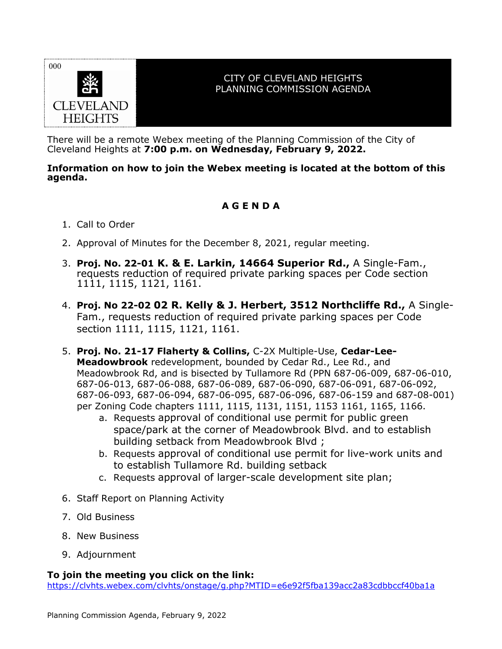

## CITY OF CLEVELAND HEIGHTS PLANNING COMMISSION AGENDA

There will be a remote Webex meeting of the Planning Commission of the City of Cleveland Heights at **7:00 p.m. on Wednesday, February 9, 2022.**

## **Information on how to join the Webex meeting is located at the bottom of this agenda.**

## **A G E N D A**

- 1. Call to Order
- 2. Approval of Minutes for the December 8, 2021, regular meeting.
- 3. **Proj. No. 22-01 K. & E. Larkin, 14664 Superior Rd.,** A Single-Fam., requests reduction of required private parking spaces per Code section 1111, 1115, 1121, 1161.
- 4. **Proj. No 22-02 02 R. Kelly & J. Herbert, 3512 Northcliffe Rd.,** A Single-Fam., requests reduction of required private parking spaces per Code section 1111, 1115, 1121, 1161.
- 5. **Proj. No. 21-17 Flaherty & Collins,** C-2X Multiple-Use, **Cedar-Lee-Meadowbrook** redevelopment, bounded by Cedar Rd., Lee Rd., and Meadowbrook Rd, and is bisected by Tullamore Rd (PPN 687-06-009, 687-06-010, 687-06-013, 687-06-088, 687-06-089, 687-06-090, 687-06-091, 687-06-092, 687-06-093, 687-06-094, 687-06-095, 687-06-096, 687-06-159 and 687-08-001) per Zoning Code chapters 1111, 1115, 1131, 1151, 1153 1161, 1165, 1166.
	- a. Requests approval of conditional use permit for public green space/park at the corner of Meadowbrook Blvd. and to establish building setback from Meadowbrook Blvd ;
	- b. Requests approval of conditional use permit for live-work units and to establish Tullamore Rd. building setback
	- c. Requests approval of larger-scale development site plan;
- 6. Staff Report on Planning Activity
- 7. Old Business
- 8. New Business
- 9. Adjournment

## **To join the meeting you click on the link:**

<https://clvhts.webex.com/clvhts/onstage/g.php?MTID=e6e92f5fba139acc2a83cdbbccf40ba1a>